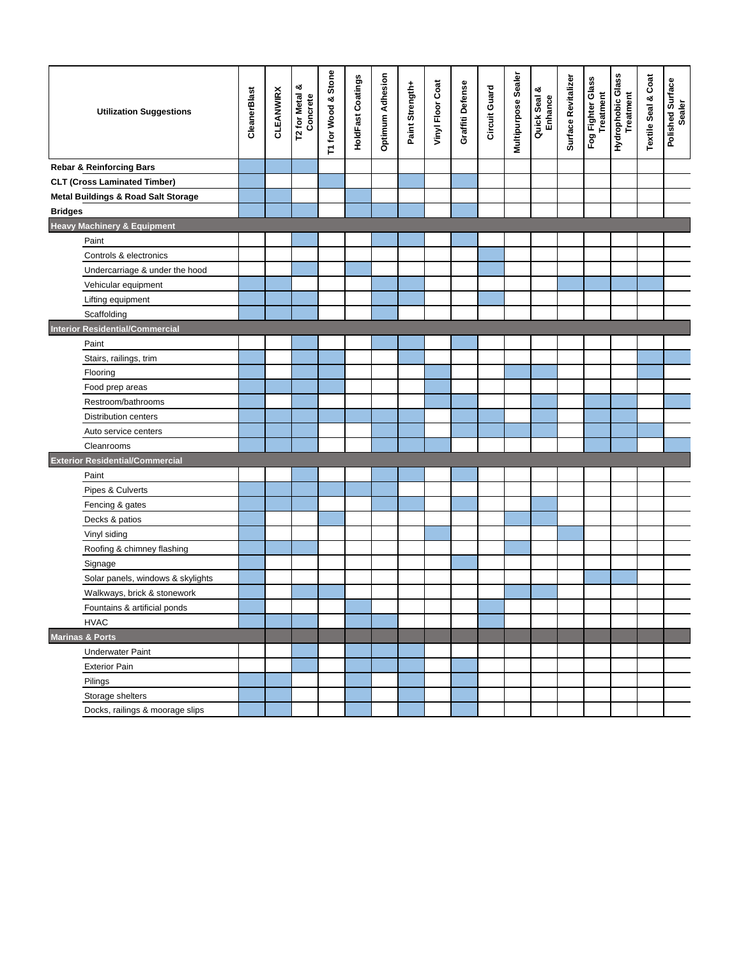| <b>Utilization Suggestions</b>                 | CleanerBlast | <b>CLEANWIRX</b> | ంర<br>T2 for Metal &<br>Concrete | T1 for Wood & Stone | <b>HoldFast Coatings</b> | <b>Optimum Adhesion</b> | Paint Strength+ | Vinyl Floor Coat | Graffiti Defense | Circuit Guard | Multipurpose Sealer | Quick Seal &<br>Enhance | Surface Revitalizer | Fog Fighter Glass<br>Treatment | Hydrophobic Glass<br>Treatment | <b>Textile Seal &amp; Coat</b> | Polished Surface<br>Sealer |
|------------------------------------------------|--------------|------------------|----------------------------------|---------------------|--------------------------|-------------------------|-----------------|------------------|------------------|---------------|---------------------|-------------------------|---------------------|--------------------------------|--------------------------------|--------------------------------|----------------------------|
| <b>Rebar &amp; Reinforcing Bars</b>            |              |                  |                                  |                     |                          |                         |                 |                  |                  |               |                     |                         |                     |                                |                                |                                |                            |
| <b>CLT (Cross Laminated Timber)</b>            |              |                  |                                  |                     |                          |                         |                 |                  |                  |               |                     |                         |                     |                                |                                |                                |                            |
| <b>Metal Buildings &amp; Road Salt Storage</b> |              |                  |                                  |                     |                          |                         |                 |                  |                  |               |                     |                         |                     |                                |                                |                                |                            |
| <b>Bridges</b>                                 |              |                  |                                  |                     |                          |                         |                 |                  |                  |               |                     |                         |                     |                                |                                |                                |                            |
| <b>Heavy Machinery &amp; Equipment</b>         |              |                  |                                  |                     |                          |                         |                 |                  |                  |               |                     |                         |                     |                                |                                |                                |                            |
| Paint                                          |              |                  |                                  |                     |                          |                         |                 |                  |                  |               |                     |                         |                     |                                |                                |                                |                            |
| Controls & electronics                         |              |                  |                                  |                     |                          |                         |                 |                  |                  |               |                     |                         |                     |                                |                                |                                |                            |
| Undercarriage & under the hood                 |              |                  |                                  |                     |                          |                         |                 |                  |                  |               |                     |                         |                     |                                |                                |                                |                            |
| Vehicular equipment                            |              |                  |                                  |                     |                          |                         |                 |                  |                  |               |                     |                         |                     |                                |                                |                                |                            |
| Lifting equipment                              |              |                  |                                  |                     |                          |                         |                 |                  |                  |               |                     |                         |                     |                                |                                |                                |                            |
| Scaffolding                                    |              |                  |                                  |                     |                          |                         |                 |                  |                  |               |                     |                         |                     |                                |                                |                                |                            |
| <b>Interior Residential/Commercial</b>         |              |                  |                                  |                     |                          |                         |                 |                  |                  |               |                     |                         |                     |                                |                                |                                |                            |
| Paint                                          |              |                  |                                  |                     |                          |                         |                 |                  |                  |               |                     |                         |                     |                                |                                |                                |                            |
| Stairs, railings, trim                         |              |                  |                                  |                     |                          |                         |                 |                  |                  |               |                     |                         |                     |                                |                                |                                |                            |
| Flooring                                       |              |                  |                                  |                     |                          |                         |                 |                  |                  |               |                     |                         |                     |                                |                                |                                |                            |
| Food prep areas                                |              |                  |                                  |                     |                          |                         |                 |                  |                  |               |                     |                         |                     |                                |                                |                                |                            |
| Restroom/bathrooms                             |              |                  |                                  |                     |                          |                         |                 |                  |                  |               |                     |                         |                     |                                |                                |                                |                            |
| <b>Distribution centers</b>                    |              |                  |                                  |                     |                          |                         |                 |                  |                  |               |                     |                         |                     |                                |                                |                                |                            |
| Auto service centers                           |              |                  |                                  |                     |                          |                         |                 |                  |                  |               |                     |                         |                     |                                |                                |                                |                            |
| Cleanrooms                                     |              |                  |                                  |                     |                          |                         |                 |                  |                  |               |                     |                         |                     |                                |                                |                                |                            |
| <b>Exterior Residential/Commercial</b>         |              |                  |                                  |                     |                          |                         |                 |                  |                  |               |                     |                         |                     |                                |                                |                                |                            |
| Paint                                          |              |                  |                                  |                     |                          |                         |                 |                  |                  |               |                     |                         |                     |                                |                                |                                |                            |
| Pipes & Culverts                               |              |                  |                                  |                     |                          |                         |                 |                  |                  |               |                     |                         |                     |                                |                                |                                |                            |
| Fencing & gates                                |              |                  |                                  |                     |                          |                         |                 |                  |                  |               |                     |                         |                     |                                |                                |                                |                            |
| Decks & patios                                 |              |                  |                                  |                     |                          |                         |                 |                  |                  |               |                     |                         |                     |                                |                                |                                |                            |
| Vinyl siding                                   |              |                  |                                  |                     |                          |                         |                 |                  |                  |               |                     |                         |                     |                                |                                |                                |                            |
| Roofing & chimney flashing                     |              |                  |                                  |                     |                          |                         |                 |                  |                  |               |                     |                         |                     |                                |                                |                                |                            |
| Signage                                        |              |                  |                                  |                     |                          |                         |                 |                  |                  |               |                     |                         |                     |                                |                                |                                |                            |
| Solar panels, windows & skylights              |              |                  |                                  |                     |                          |                         |                 |                  |                  |               |                     |                         |                     |                                |                                |                                |                            |
| Walkways, brick & stonework                    |              |                  |                                  |                     |                          |                         |                 |                  |                  |               |                     |                         |                     |                                |                                |                                |                            |
| Fountains & artificial ponds                   |              |                  |                                  |                     |                          |                         |                 |                  |                  |               |                     |                         |                     |                                |                                |                                |                            |
| <b>HVAC</b>                                    |              |                  |                                  |                     |                          |                         |                 |                  |                  |               |                     |                         |                     |                                |                                |                                |                            |
| <b>Marinas &amp; Ports</b>                     |              |                  |                                  |                     |                          |                         |                 |                  |                  |               |                     |                         |                     |                                |                                |                                |                            |
| <b>Underwater Paint</b>                        |              |                  |                                  |                     |                          |                         |                 |                  |                  |               |                     |                         |                     |                                |                                |                                |                            |
| <b>Exterior Pain</b>                           |              |                  |                                  |                     |                          |                         |                 |                  |                  |               |                     |                         |                     |                                |                                |                                |                            |
| Pilings                                        |              |                  |                                  |                     |                          |                         |                 |                  |                  |               |                     |                         |                     |                                |                                |                                |                            |
| Storage shelters                               |              |                  |                                  |                     |                          |                         |                 |                  |                  |               |                     |                         |                     |                                |                                |                                |                            |
| Docks, railings & moorage slips                |              |                  |                                  |                     |                          |                         |                 |                  |                  |               |                     |                         |                     |                                |                                |                                |                            |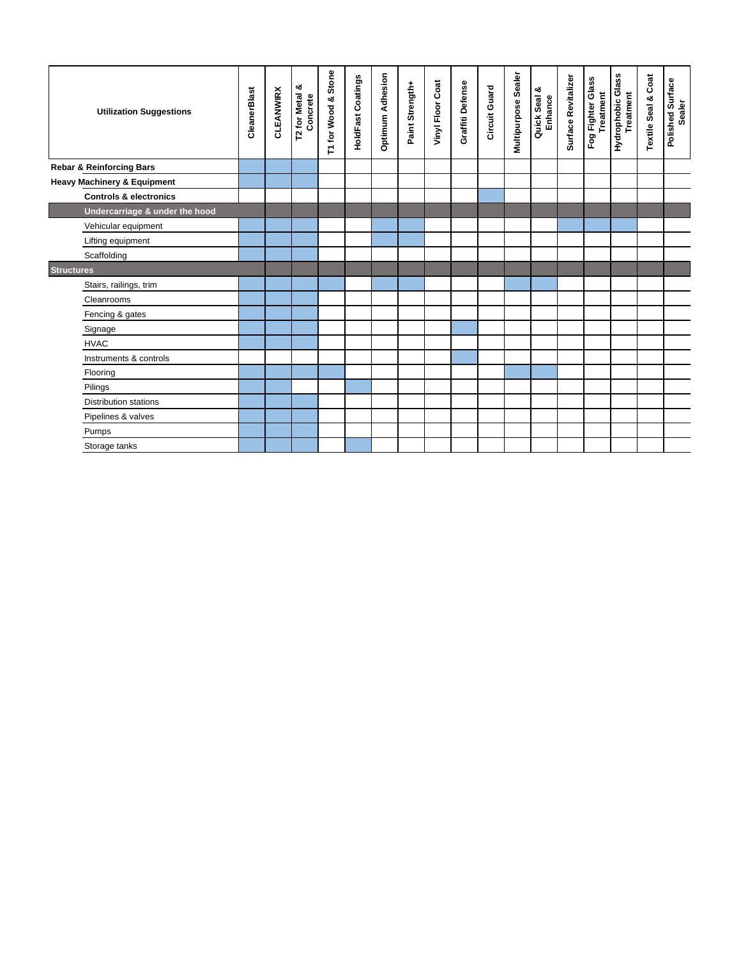| <b>Utilization Suggestions</b>         | CleanerBlast | <b>CLEANWIRX</b> | య<br><b>T2 for Metal</b><br>Concrete | Stone<br>T1 for Wood & | <b>HoldFast Coatings</b> | Optimum Adhesion | Paint Strength+ | Vinyl Floor Coat | Graffiti Defense | Circuit Guard | Multipurpose Sealer | Quick Seal &<br>Enhance | Surface Revitalizer | Fog Fighter Glass<br>Treatment | Hydrophobic Glass<br><b>Treatment</b> | <b>Textile Seal &amp; Coat</b> | Polished Surface<br>Sealer |
|----------------------------------------|--------------|------------------|--------------------------------------|------------------------|--------------------------|------------------|-----------------|------------------|------------------|---------------|---------------------|-------------------------|---------------------|--------------------------------|---------------------------------------|--------------------------------|----------------------------|
| <b>Rebar &amp; Reinforcing Bars</b>    |              |                  |                                      |                        |                          |                  |                 |                  |                  |               |                     |                         |                     |                                |                                       |                                |                            |
| <b>Heavy Machinery &amp; Equipment</b> |              |                  |                                      |                        |                          |                  |                 |                  |                  |               |                     |                         |                     |                                |                                       |                                |                            |
| <b>Controls &amp; electronics</b>      |              |                  |                                      |                        |                          |                  |                 |                  |                  |               |                     |                         |                     |                                |                                       |                                |                            |
| Undercarriage & under the hood         |              |                  |                                      |                        |                          |                  |                 |                  |                  |               |                     |                         |                     |                                |                                       |                                |                            |
| Vehicular equipment                    |              |                  |                                      |                        |                          |                  |                 |                  |                  |               |                     |                         |                     |                                |                                       |                                |                            |
| Lifting equipment                      |              |                  |                                      |                        |                          |                  |                 |                  |                  |               |                     |                         |                     |                                |                                       |                                |                            |
| Scaffolding                            |              |                  |                                      |                        |                          |                  |                 |                  |                  |               |                     |                         |                     |                                |                                       |                                |                            |
| <b>Structures</b>                      |              |                  |                                      |                        |                          |                  |                 |                  |                  |               |                     |                         |                     |                                |                                       |                                |                            |
| Stairs, railings, trim                 |              |                  |                                      |                        |                          |                  |                 |                  |                  |               |                     |                         |                     |                                |                                       |                                |                            |
| Cleanrooms                             |              |                  |                                      |                        |                          |                  |                 |                  |                  |               |                     |                         |                     |                                |                                       |                                |                            |
| Fencing & gates                        |              |                  |                                      |                        |                          |                  |                 |                  |                  |               |                     |                         |                     |                                |                                       |                                |                            |
| Signage                                |              |                  |                                      |                        |                          |                  |                 |                  |                  |               |                     |                         |                     |                                |                                       |                                |                            |
| <b>HVAC</b>                            |              |                  |                                      |                        |                          |                  |                 |                  |                  |               |                     |                         |                     |                                |                                       |                                |                            |
| Instruments & controls                 |              |                  |                                      |                        |                          |                  |                 |                  |                  |               |                     |                         |                     |                                |                                       |                                |                            |
| Flooring                               |              |                  |                                      |                        |                          |                  |                 |                  |                  |               |                     |                         |                     |                                |                                       |                                |                            |
| Pilings                                |              |                  |                                      |                        |                          |                  |                 |                  |                  |               |                     |                         |                     |                                |                                       |                                |                            |
| Distribution stations                  |              |                  |                                      |                        |                          |                  |                 |                  |                  |               |                     |                         |                     |                                |                                       |                                |                            |
| Pipelines & valves                     |              |                  |                                      |                        |                          |                  |                 |                  |                  |               |                     |                         |                     |                                |                                       |                                |                            |
| Pumps                                  |              |                  |                                      |                        |                          |                  |                 |                  |                  |               |                     |                         |                     |                                |                                       |                                |                            |
| Storage tanks                          |              |                  |                                      |                        |                          |                  |                 |                  |                  |               |                     |                         |                     |                                |                                       |                                |                            |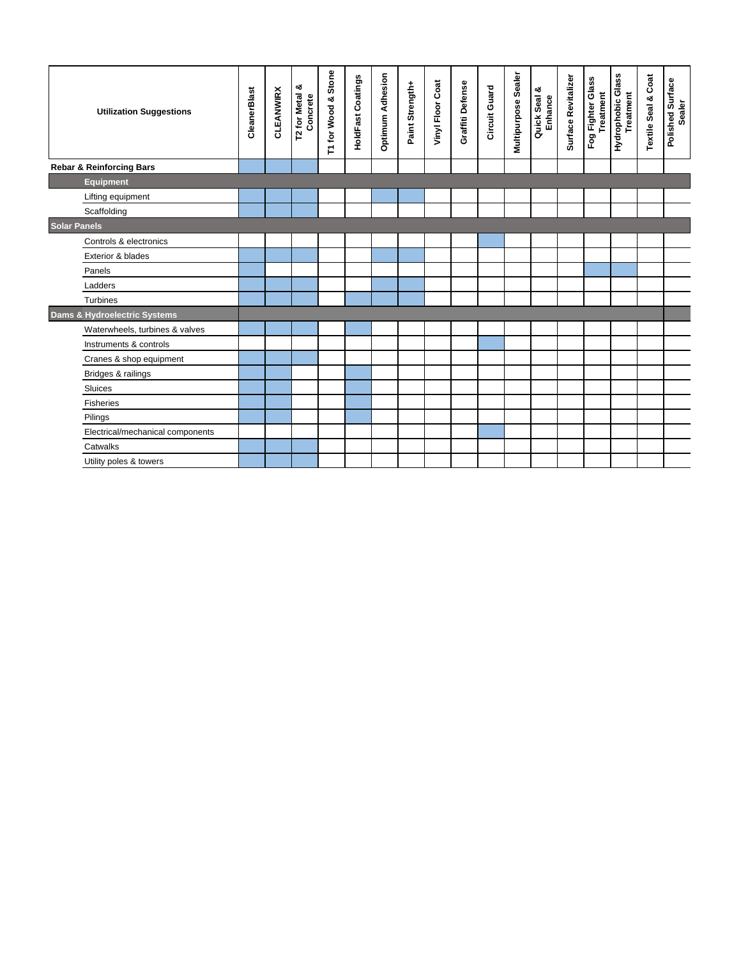| <b>Utilization Suggestions</b>      | CleanerBlast | <b>CLEANWIRX</b> | T2 for Metal &<br>Concrete | T1 for Wood & Stone | <b>HoldFast Coatings</b> | <b>Optimum Adhesion</b> | Paint Strength+ | Vinyl Floor Coat | Graffiti Defense | Circuit Guard | Multipurpose Sealer | Quick Seal &<br>Enhance | Surface Revitalizer | Fog Fighter Glass<br>Treatment | Hydrophobic Glass<br>Treatment | <b>Textile Seal &amp; Coat</b> | Polished Surface<br>Sealer |
|-------------------------------------|--------------|------------------|----------------------------|---------------------|--------------------------|-------------------------|-----------------|------------------|------------------|---------------|---------------------|-------------------------|---------------------|--------------------------------|--------------------------------|--------------------------------|----------------------------|
| <b>Rebar &amp; Reinforcing Bars</b> |              |                  |                            |                     |                          |                         |                 |                  |                  |               |                     |                         |                     |                                |                                |                                |                            |
| <b>Equipment</b>                    |              |                  |                            |                     |                          |                         |                 |                  |                  |               |                     |                         |                     |                                |                                |                                |                            |
| Lifting equipment                   |              |                  |                            |                     |                          |                         |                 |                  |                  |               |                     |                         |                     |                                |                                |                                |                            |
| Scaffolding                         |              |                  |                            |                     |                          |                         |                 |                  |                  |               |                     |                         |                     |                                |                                |                                |                            |
| <b>Solar Panels</b>                 |              |                  |                            |                     |                          |                         |                 |                  |                  |               |                     |                         |                     |                                |                                |                                |                            |
| Controls & electronics              |              |                  |                            |                     |                          |                         |                 |                  |                  |               |                     |                         |                     |                                |                                |                                |                            |
| Exterior & blades                   |              |                  |                            |                     |                          |                         |                 |                  |                  |               |                     |                         |                     |                                |                                |                                |                            |
| Panels                              |              |                  |                            |                     |                          |                         |                 |                  |                  |               |                     |                         |                     |                                |                                |                                |                            |
| Ladders                             |              |                  |                            |                     |                          |                         |                 |                  |                  |               |                     |                         |                     |                                |                                |                                |                            |
| <b>Turbines</b>                     |              |                  |                            |                     |                          |                         |                 |                  |                  |               |                     |                         |                     |                                |                                |                                |                            |
| Dams & Hydroelectric Systems        |              |                  |                            |                     |                          |                         |                 |                  |                  |               |                     |                         |                     |                                |                                |                                |                            |
| Waterwheels, turbines & valves      |              |                  |                            |                     |                          |                         |                 |                  |                  |               |                     |                         |                     |                                |                                |                                |                            |
| Instruments & controls              |              |                  |                            |                     |                          |                         |                 |                  |                  |               |                     |                         |                     |                                |                                |                                |                            |
| Cranes & shop equipment             |              |                  |                            |                     |                          |                         |                 |                  |                  |               |                     |                         |                     |                                |                                |                                |                            |
| Bridges & railings                  |              |                  |                            |                     |                          |                         |                 |                  |                  |               |                     |                         |                     |                                |                                |                                |                            |
| Sluices                             |              |                  |                            |                     |                          |                         |                 |                  |                  |               |                     |                         |                     |                                |                                |                                |                            |
| <b>Fisheries</b>                    |              |                  |                            |                     |                          |                         |                 |                  |                  |               |                     |                         |                     |                                |                                |                                |                            |
| Pilings                             |              |                  |                            |                     |                          |                         |                 |                  |                  |               |                     |                         |                     |                                |                                |                                |                            |
| Electrical/mechanical components    |              |                  |                            |                     |                          |                         |                 |                  |                  |               |                     |                         |                     |                                |                                |                                |                            |
| Catwalks                            |              |                  |                            |                     |                          |                         |                 |                  |                  |               |                     |                         |                     |                                |                                |                                |                            |
| Utility poles & towers              |              |                  |                            |                     |                          |                         |                 |                  |                  |               |                     |                         |                     |                                |                                |                                |                            |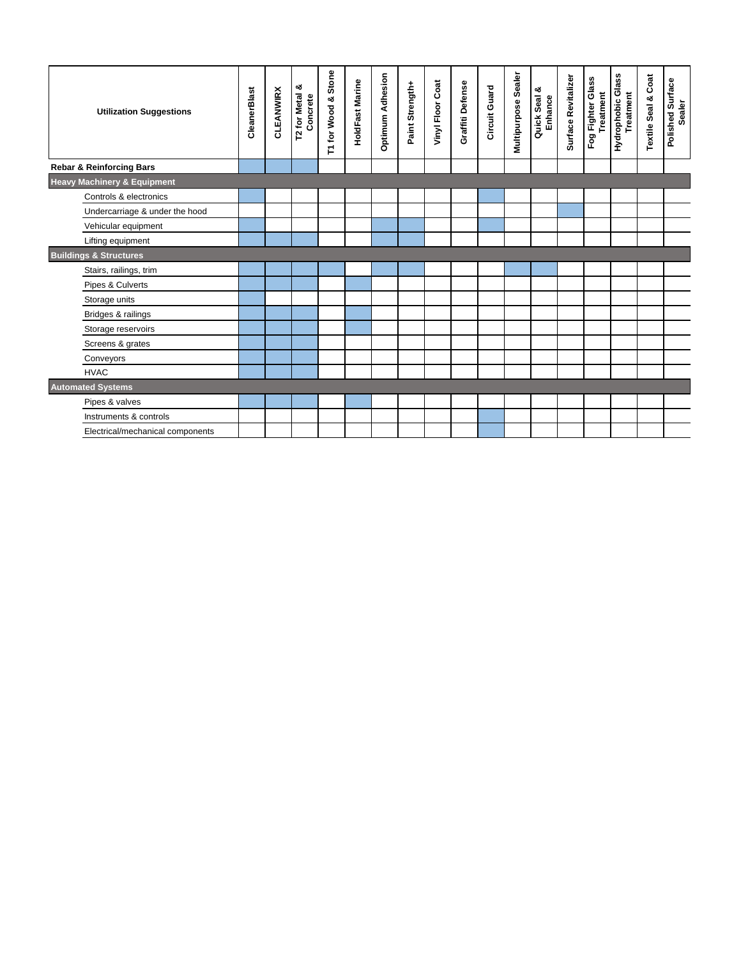| <b>Utilization Suggestions</b>         | CleanerBlast | <b>CLEANWIRX</b> | T2 for Metal &<br>Concrete | T1 for Wood & Stone | HoldFast Marine | <b>Optimum Adhesion</b> | Paint Strength+ | Vinyl Floor Coat | Graffiti Defense | Circuit Guard | Multipurpose Sealer | Quick Seal &<br>Enhance | Surface Revitalizer | Fog Fighter Glass<br>Treatment | Hydrophobic Glass<br><b>Treatment</b> | <b>Textile Seal &amp; Coat</b> | Polished Surface<br><b>Sealer</b> |
|----------------------------------------|--------------|------------------|----------------------------|---------------------|-----------------|-------------------------|-----------------|------------------|------------------|---------------|---------------------|-------------------------|---------------------|--------------------------------|---------------------------------------|--------------------------------|-----------------------------------|
| <b>Rebar &amp; Reinforcing Bars</b>    |              |                  |                            |                     |                 |                         |                 |                  |                  |               |                     |                         |                     |                                |                                       |                                |                                   |
| <b>Heavy Machinery &amp; Equipment</b> |              |                  |                            |                     |                 |                         |                 |                  |                  |               |                     |                         |                     |                                |                                       |                                |                                   |
| Controls & electronics                 |              |                  |                            |                     |                 |                         |                 |                  |                  |               |                     |                         |                     |                                |                                       |                                |                                   |
| Undercarriage & under the hood         |              |                  |                            |                     |                 |                         |                 |                  |                  |               |                     |                         |                     |                                |                                       |                                |                                   |
| Vehicular equipment                    |              |                  |                            |                     |                 |                         |                 |                  |                  |               |                     |                         |                     |                                |                                       |                                |                                   |
| Lifting equipment                      |              |                  |                            |                     |                 |                         |                 |                  |                  |               |                     |                         |                     |                                |                                       |                                |                                   |
| <b>Buildings &amp; Structures</b>      |              |                  |                            |                     |                 |                         |                 |                  |                  |               |                     |                         |                     |                                |                                       |                                |                                   |
| Stairs, railings, trim                 |              |                  |                            |                     |                 |                         |                 |                  |                  |               |                     |                         |                     |                                |                                       |                                |                                   |
| Pipes & Culverts                       |              |                  |                            |                     |                 |                         |                 |                  |                  |               |                     |                         |                     |                                |                                       |                                |                                   |
| Storage units                          |              |                  |                            |                     |                 |                         |                 |                  |                  |               |                     |                         |                     |                                |                                       |                                |                                   |
| Bridges & railings                     |              |                  |                            |                     |                 |                         |                 |                  |                  |               |                     |                         |                     |                                |                                       |                                |                                   |
| Storage reservoirs                     |              |                  |                            |                     |                 |                         |                 |                  |                  |               |                     |                         |                     |                                |                                       |                                |                                   |
| Screens & grates                       |              |                  |                            |                     |                 |                         |                 |                  |                  |               |                     |                         |                     |                                |                                       |                                |                                   |
| Conveyors                              |              |                  |                            |                     |                 |                         |                 |                  |                  |               |                     |                         |                     |                                |                                       |                                |                                   |
| <b>HVAC</b>                            |              |                  |                            |                     |                 |                         |                 |                  |                  |               |                     |                         |                     |                                |                                       |                                |                                   |
| <b>Automated Systems</b>               |              |                  |                            |                     |                 |                         |                 |                  |                  |               |                     |                         |                     |                                |                                       |                                |                                   |
| Pipes & valves                         |              |                  |                            |                     |                 |                         |                 |                  |                  |               |                     |                         |                     |                                |                                       |                                |                                   |
| Instruments & controls                 |              |                  |                            |                     |                 |                         |                 |                  |                  |               |                     |                         |                     |                                |                                       |                                |                                   |
| Electrical/mechanical components       |              |                  |                            |                     |                 |                         |                 |                  |                  |               |                     |                         |                     |                                |                                       |                                |                                   |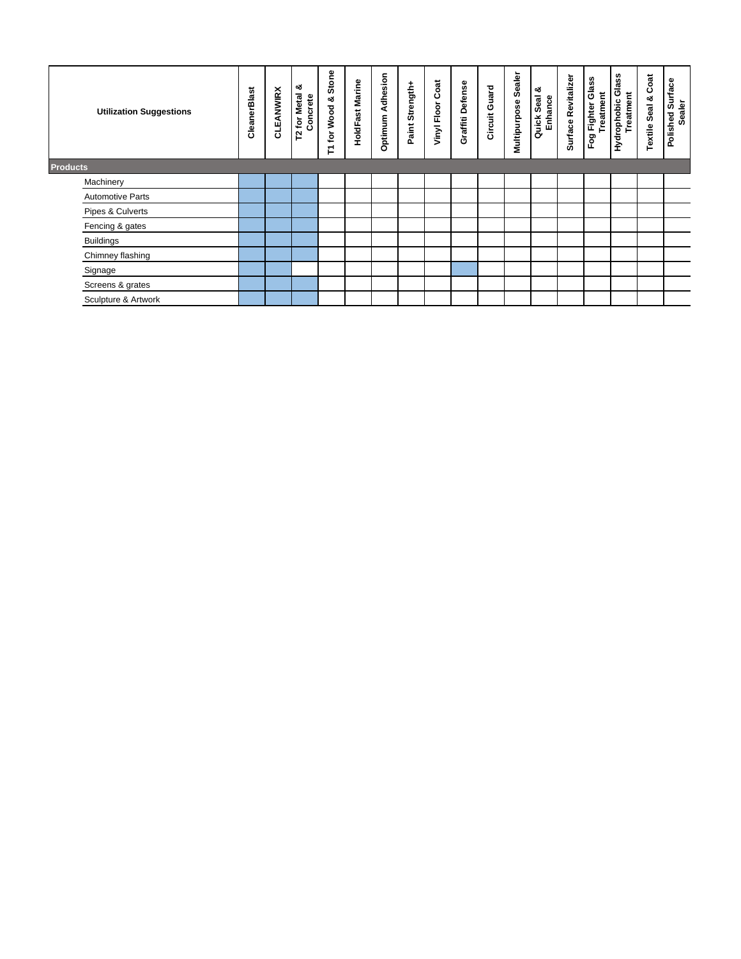| <b>Utilization Suggestions</b> | CleanerBlast | <b>CLEANWIRX</b> | య<br><b>Metal</b><br>Concrete<br>$\mathbf{\tilde{e}}$<br>52 | Stone<br>ಯ<br>Wood<br>$\mathbf{\tilde{e}}$<br>$\overline{\phantom{0}}$<br>⊢ | HoldFast Marine | Adhesion<br>Optimum | Paint Strength+ | Coat<br>Vinyl Floor | Graffiti Defense | Circuit Guard | Sealer<br>Multipurpose | య<br>Quick Seal<br>Enhance | Surface Revitalizer | Fog Fighter Glass<br>Treatment | Glass<br>Treatment<br>Hydrophobic | Coat<br><b>Textile Seal &amp;</b> | Polished Surface<br><b>Sealer</b> |
|--------------------------------|--------------|------------------|-------------------------------------------------------------|-----------------------------------------------------------------------------|-----------------|---------------------|-----------------|---------------------|------------------|---------------|------------------------|----------------------------|---------------------|--------------------------------|-----------------------------------|-----------------------------------|-----------------------------------|
| <b>Products</b>                |              |                  |                                                             |                                                                             |                 |                     |                 |                     |                  |               |                        |                            |                     |                                |                                   |                                   |                                   |
| Machinery                      |              |                  |                                                             |                                                                             |                 |                     |                 |                     |                  |               |                        |                            |                     |                                |                                   |                                   |                                   |
| <b>Automotive Parts</b>        |              |                  |                                                             |                                                                             |                 |                     |                 |                     |                  |               |                        |                            |                     |                                |                                   |                                   |                                   |
| Pipes & Culverts               |              |                  |                                                             |                                                                             |                 |                     |                 |                     |                  |               |                        |                            |                     |                                |                                   |                                   |                                   |
| Fencing & gates                |              |                  |                                                             |                                                                             |                 |                     |                 |                     |                  |               |                        |                            |                     |                                |                                   |                                   |                                   |
| <b>Buildings</b>               |              |                  |                                                             |                                                                             |                 |                     |                 |                     |                  |               |                        |                            |                     |                                |                                   |                                   |                                   |
| Chimney flashing               |              |                  |                                                             |                                                                             |                 |                     |                 |                     |                  |               |                        |                            |                     |                                |                                   |                                   |                                   |
| Signage                        |              |                  |                                                             |                                                                             |                 |                     |                 |                     |                  |               |                        |                            |                     |                                |                                   |                                   |                                   |
| Screens & grates               |              |                  |                                                             |                                                                             |                 |                     |                 |                     |                  |               |                        |                            |                     |                                |                                   |                                   |                                   |
| Sculpture & Artwork            |              |                  |                                                             |                                                                             |                 |                     |                 |                     |                  |               |                        |                            |                     |                                |                                   |                                   |                                   |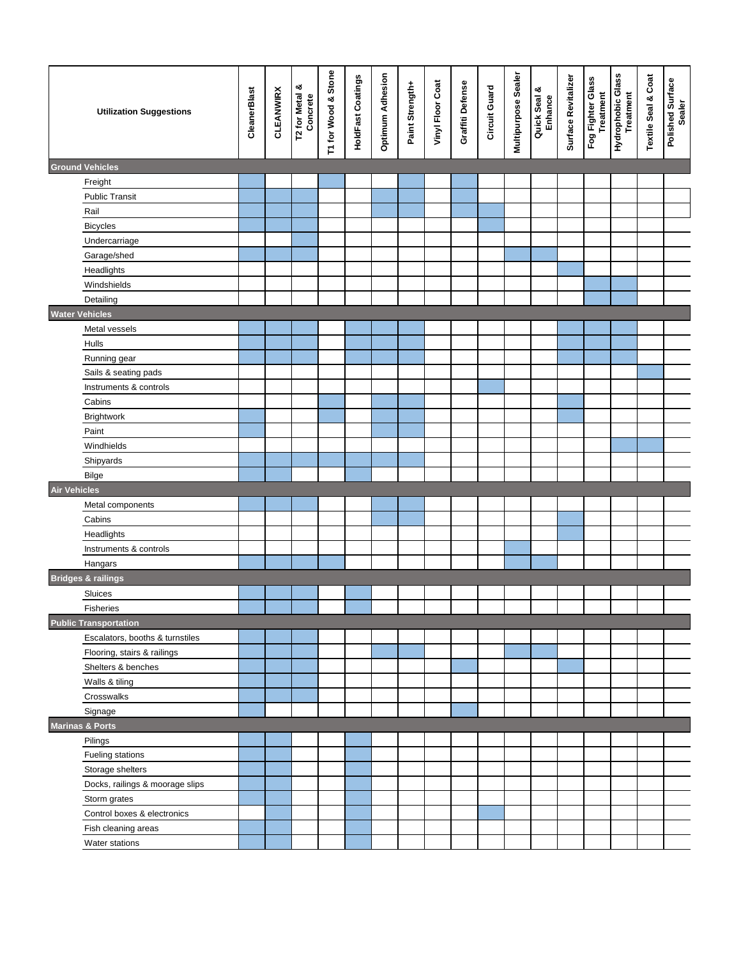| <b>Utilization Suggestions</b>  | CleanerBlast | <b>CLEANWIRX</b> | T2 for Metal &<br>Concrete | T1 for Wood & Stone | <b>HoldFast Coatings</b> | Optimum Adhesion | Paint Strength+ | Vinyl Floor Coat | Graffiti Defense | Circuit Guard | Multipurpose Sealer | Quick Seal &<br>Enhance | Surface Revitalizer | Fog Fighter Glass<br>Treatment | Treatment<br>Treatment | <b>Textile Seal &amp; Coat</b> | Polished Surface<br>Sealer |
|---------------------------------|--------------|------------------|----------------------------|---------------------|--------------------------|------------------|-----------------|------------------|------------------|---------------|---------------------|-------------------------|---------------------|--------------------------------|------------------------|--------------------------------|----------------------------|
| <b>Ground Vehicles</b>          |              |                  |                            |                     |                          |                  |                 |                  |                  |               |                     |                         |                     |                                |                        |                                |                            |
| Freight                         |              |                  |                            |                     |                          |                  |                 |                  |                  |               |                     |                         |                     |                                |                        |                                |                            |
| <b>Public Transit</b>           |              |                  |                            |                     |                          |                  |                 |                  |                  |               |                     |                         |                     |                                |                        |                                |                            |
| Rail                            |              |                  |                            |                     |                          |                  |                 |                  |                  |               |                     |                         |                     |                                |                        |                                |                            |
| <b>Bicycles</b>                 |              |                  |                            |                     |                          |                  |                 |                  |                  |               |                     |                         |                     |                                |                        |                                |                            |
| Undercarriage                   |              |                  |                            |                     |                          |                  |                 |                  |                  |               |                     |                         |                     |                                |                        |                                |                            |
| Garage/shed                     |              |                  |                            |                     |                          |                  |                 |                  |                  |               |                     |                         |                     |                                |                        |                                |                            |
| Headlights                      |              |                  |                            |                     |                          |                  |                 |                  |                  |               |                     |                         |                     |                                |                        |                                |                            |
| Windshields                     |              |                  |                            |                     |                          |                  |                 |                  |                  |               |                     |                         |                     |                                |                        |                                |                            |
| Detailing                       |              |                  |                            |                     |                          |                  |                 |                  |                  |               |                     |                         |                     |                                |                        |                                |                            |
| <b>Water Vehicles</b>           |              |                  |                            |                     |                          |                  |                 |                  |                  |               |                     |                         |                     |                                |                        |                                |                            |
| Metal vessels                   |              |                  |                            |                     |                          |                  |                 |                  |                  |               |                     |                         |                     |                                |                        |                                |                            |
| Hulls                           |              |                  |                            |                     |                          |                  |                 |                  |                  |               |                     |                         |                     |                                |                        |                                |                            |
| Running gear                    |              |                  |                            |                     |                          |                  |                 |                  |                  |               |                     |                         |                     |                                |                        |                                |                            |
| Sails & seating pads            |              |                  |                            |                     |                          |                  |                 |                  |                  |               |                     |                         |                     |                                |                        |                                |                            |
| Instruments & controls          |              |                  |                            |                     |                          |                  |                 |                  |                  |               |                     |                         |                     |                                |                        |                                |                            |
| Cabins                          |              |                  |                            |                     |                          |                  |                 |                  |                  |               |                     |                         |                     |                                |                        |                                |                            |
| Brightwork                      |              |                  |                            |                     |                          |                  |                 |                  |                  |               |                     |                         |                     |                                |                        |                                |                            |
| Paint                           |              |                  |                            |                     |                          |                  |                 |                  |                  |               |                     |                         |                     |                                |                        |                                |                            |
| Windhields                      |              |                  |                            |                     |                          |                  |                 |                  |                  |               |                     |                         |                     |                                |                        |                                |                            |
| Shipyards                       |              |                  |                            |                     |                          |                  |                 |                  |                  |               |                     |                         |                     |                                |                        |                                |                            |
| Bilge                           |              |                  |                            |                     |                          |                  |                 |                  |                  |               |                     |                         |                     |                                |                        |                                |                            |
| <b>Air Vehicles</b>             |              |                  |                            |                     |                          |                  |                 |                  |                  |               |                     |                         |                     |                                |                        |                                |                            |
| Metal components                |              |                  |                            |                     |                          |                  |                 |                  |                  |               |                     |                         |                     |                                |                        |                                |                            |
| Cabins                          |              |                  |                            |                     |                          |                  |                 |                  |                  |               |                     |                         |                     |                                |                        |                                |                            |
| Headlights                      |              |                  |                            |                     |                          |                  |                 |                  |                  |               |                     |                         |                     |                                |                        |                                |                            |
| Instruments & controls          |              |                  |                            |                     |                          |                  |                 |                  |                  |               |                     |                         |                     |                                |                        |                                |                            |
| Hangars                         |              |                  |                            |                     |                          |                  |                 |                  |                  |               |                     |                         |                     |                                |                        |                                |                            |
| <b>Bridges &amp; railings</b>   |              |                  |                            |                     |                          |                  |                 |                  |                  |               |                     |                         |                     |                                |                        |                                |                            |
| Sluices                         |              |                  |                            |                     |                          |                  |                 |                  |                  |               |                     |                         |                     |                                |                        |                                |                            |
| <b>Fisheries</b>                |              |                  |                            |                     |                          |                  |                 |                  |                  |               |                     |                         |                     |                                |                        |                                |                            |
| <b>Public Transportation</b>    |              |                  |                            |                     |                          |                  |                 |                  |                  |               |                     |                         |                     |                                |                        |                                |                            |
| Escalators, booths & turnstiles |              |                  |                            |                     |                          |                  |                 |                  |                  |               |                     |                         |                     |                                |                        |                                |                            |
| Flooring, stairs & railings     |              |                  |                            |                     |                          |                  |                 |                  |                  |               |                     |                         |                     |                                |                        |                                |                            |
| Shelters & benches              |              |                  |                            |                     |                          |                  |                 |                  |                  |               |                     |                         |                     |                                |                        |                                |                            |
| Walls & tiling                  |              |                  |                            |                     |                          |                  |                 |                  |                  |               |                     |                         |                     |                                |                        |                                |                            |
| Crosswalks                      |              |                  |                            |                     |                          |                  |                 |                  |                  |               |                     |                         |                     |                                |                        |                                |                            |
| Signage                         |              |                  |                            |                     |                          |                  |                 |                  |                  |               |                     |                         |                     |                                |                        |                                |                            |
| <b>Marinas &amp; Ports</b>      |              |                  |                            |                     |                          |                  |                 |                  |                  |               |                     |                         |                     |                                |                        |                                |                            |
| Pilings                         |              |                  |                            |                     |                          |                  |                 |                  |                  |               |                     |                         |                     |                                |                        |                                |                            |
| Fueling stations                |              |                  |                            |                     |                          |                  |                 |                  |                  |               |                     |                         |                     |                                |                        |                                |                            |
| Storage shelters                |              |                  |                            |                     |                          |                  |                 |                  |                  |               |                     |                         |                     |                                |                        |                                |                            |
| Docks, railings & moorage slips |              |                  |                            |                     |                          |                  |                 |                  |                  |               |                     |                         |                     |                                |                        |                                |                            |
| Storm grates                    |              |                  |                            |                     |                          |                  |                 |                  |                  |               |                     |                         |                     |                                |                        |                                |                            |
| Control boxes & electronics     |              |                  |                            |                     |                          |                  |                 |                  |                  |               |                     |                         |                     |                                |                        |                                |                            |
| Fish cleaning areas             |              |                  |                            |                     |                          |                  |                 |                  |                  |               |                     |                         |                     |                                |                        |                                |                            |
| Water stations                  |              |                  |                            |                     |                          |                  |                 |                  |                  |               |                     |                         |                     |                                |                        |                                |                            |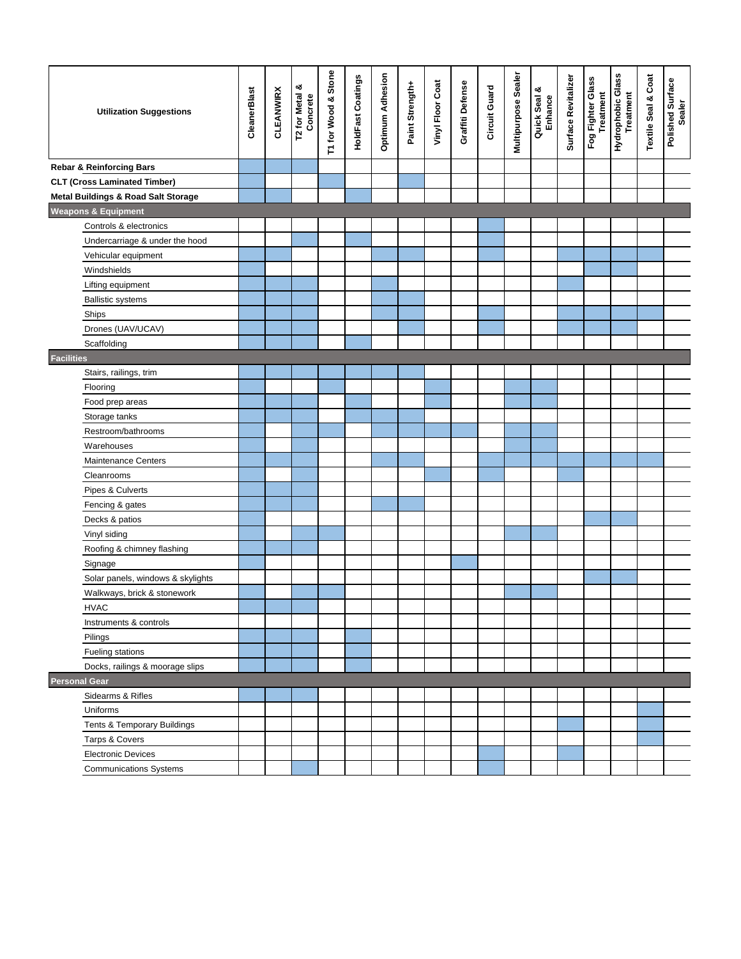| <b>Utilization Suggestions</b>                 | CleanerBlast | <b>CLEANWIRX</b> | య<br>T2 for Metal & | T1 for Wood & Stone | <b>HoldFast Coatings</b> | <b>Optimum Adhesion</b> | Paint Strength+ | Vinyl Floor Coat | Graffiti Defense | Circuit Guard | Multipurpose Sealer | Quick Seal &<br>Enhance | Surface Revitalizer | Fog Fighter Glass<br>Treatment | Hydrophobic Glass<br><b>Treatment</b> | <b>Textile Seal &amp; Coat</b> | Polished Surface<br>Sealer |
|------------------------------------------------|--------------|------------------|---------------------|---------------------|--------------------------|-------------------------|-----------------|------------------|------------------|---------------|---------------------|-------------------------|---------------------|--------------------------------|---------------------------------------|--------------------------------|----------------------------|
| <b>Rebar &amp; Reinforcing Bars</b>            |              |                  |                     |                     |                          |                         |                 |                  |                  |               |                     |                         |                     |                                |                                       |                                |                            |
| <b>CLT (Cross Laminated Timber)</b>            |              |                  |                     |                     |                          |                         |                 |                  |                  |               |                     |                         |                     |                                |                                       |                                |                            |
| <b>Metal Buildings &amp; Road Salt Storage</b> |              |                  |                     |                     |                          |                         |                 |                  |                  |               |                     |                         |                     |                                |                                       |                                |                            |
| <b>Weapons &amp; Equipment</b>                 |              |                  |                     |                     |                          |                         |                 |                  |                  |               |                     |                         |                     |                                |                                       |                                |                            |
| Controls & electronics                         |              |                  |                     |                     |                          |                         |                 |                  |                  |               |                     |                         |                     |                                |                                       |                                |                            |
| Undercarriage & under the hood                 |              |                  |                     |                     |                          |                         |                 |                  |                  |               |                     |                         |                     |                                |                                       |                                |                            |
| Vehicular equipment                            |              |                  |                     |                     |                          |                         |                 |                  |                  |               |                     |                         |                     |                                |                                       |                                |                            |
| Windshields                                    |              |                  |                     |                     |                          |                         |                 |                  |                  |               |                     |                         |                     |                                |                                       |                                |                            |
| Lifting equipment                              |              |                  |                     |                     |                          |                         |                 |                  |                  |               |                     |                         |                     |                                |                                       |                                |                            |
| <b>Ballistic systems</b>                       |              |                  |                     |                     |                          |                         |                 |                  |                  |               |                     |                         |                     |                                |                                       |                                |                            |
| Ships                                          |              |                  |                     |                     |                          |                         |                 |                  |                  |               |                     |                         |                     |                                |                                       |                                |                            |
| Drones (UAV/UCAV)                              |              |                  |                     |                     |                          |                         |                 |                  |                  |               |                     |                         |                     |                                |                                       |                                |                            |
| Scaffolding                                    |              |                  |                     |                     |                          |                         |                 |                  |                  |               |                     |                         |                     |                                |                                       |                                |                            |
| <b>Facilities</b>                              |              |                  |                     |                     |                          |                         |                 |                  |                  |               |                     |                         |                     |                                |                                       |                                |                            |
| Stairs, railings, trim                         |              |                  |                     |                     |                          |                         |                 |                  |                  |               |                     |                         |                     |                                |                                       |                                |                            |
| Flooring                                       |              |                  |                     |                     |                          |                         |                 |                  |                  |               |                     |                         |                     |                                |                                       |                                |                            |
| Food prep areas                                |              |                  |                     |                     |                          |                         |                 |                  |                  |               |                     |                         |                     |                                |                                       |                                |                            |
| Storage tanks                                  |              |                  |                     |                     |                          |                         |                 |                  |                  |               |                     |                         |                     |                                |                                       |                                |                            |
| Restroom/bathrooms                             |              |                  |                     |                     |                          |                         |                 |                  |                  |               |                     |                         |                     |                                |                                       |                                |                            |
| Warehouses                                     |              |                  |                     |                     |                          |                         |                 |                  |                  |               |                     |                         |                     |                                |                                       |                                |                            |
| Maintenance Centers                            |              |                  |                     |                     |                          |                         |                 |                  |                  |               |                     |                         |                     |                                |                                       |                                |                            |
| Cleanrooms                                     |              |                  |                     |                     |                          |                         |                 |                  |                  |               |                     |                         |                     |                                |                                       |                                |                            |
| Pipes & Culverts                               |              |                  |                     |                     |                          |                         |                 |                  |                  |               |                     |                         |                     |                                |                                       |                                |                            |
| Fencing & gates                                |              |                  |                     |                     |                          |                         |                 |                  |                  |               |                     |                         |                     |                                |                                       |                                |                            |
| Decks & patios                                 |              |                  |                     |                     |                          |                         |                 |                  |                  |               |                     |                         |                     |                                |                                       |                                |                            |
| Vinyl siding                                   |              |                  |                     |                     |                          |                         |                 |                  |                  |               |                     |                         |                     |                                |                                       |                                |                            |
| Roofing & chimney flashing                     |              |                  |                     |                     |                          |                         |                 |                  |                  |               |                     |                         |                     |                                |                                       |                                |                            |
| Signage                                        |              |                  |                     |                     |                          |                         |                 |                  |                  |               |                     |                         |                     |                                |                                       |                                |                            |
| Solar panels, windows & skylights              |              |                  |                     |                     |                          |                         |                 |                  |                  |               |                     |                         |                     |                                |                                       |                                |                            |
| Walkways, brick & stonework                    |              |                  |                     |                     |                          |                         |                 |                  |                  |               |                     |                         |                     |                                |                                       |                                |                            |
| <b>HVAC</b>                                    |              |                  |                     |                     |                          |                         |                 |                  |                  |               |                     |                         |                     |                                |                                       |                                |                            |
| Instruments & controls                         |              |                  |                     |                     |                          |                         |                 |                  |                  |               |                     |                         |                     |                                |                                       |                                |                            |
| Pilings                                        |              |                  |                     |                     |                          |                         |                 |                  |                  |               |                     |                         |                     |                                |                                       |                                |                            |
| Fueling stations                               |              |                  |                     |                     |                          |                         |                 |                  |                  |               |                     |                         |                     |                                |                                       |                                |                            |
| Docks, railings & moorage slips                |              |                  |                     |                     |                          |                         |                 |                  |                  |               |                     |                         |                     |                                |                                       |                                |                            |
| <b>Personal Gear</b>                           |              |                  |                     |                     |                          |                         |                 |                  |                  |               |                     |                         |                     |                                |                                       |                                |                            |
| Sidearms & Rifles                              |              |                  |                     |                     |                          |                         |                 |                  |                  |               |                     |                         |                     |                                |                                       |                                |                            |
| Uniforms                                       |              |                  |                     |                     |                          |                         |                 |                  |                  |               |                     |                         |                     |                                |                                       |                                |                            |
| Tents & Temporary Buildings                    |              |                  |                     |                     |                          |                         |                 |                  |                  |               |                     |                         |                     |                                |                                       |                                |                            |
| Tarps & Covers                                 |              |                  |                     |                     |                          |                         |                 |                  |                  |               |                     |                         |                     |                                |                                       |                                |                            |
| <b>Electronic Devices</b>                      |              |                  |                     |                     |                          |                         |                 |                  |                  |               |                     |                         |                     |                                |                                       |                                |                            |
| <b>Communications Systems</b>                  |              |                  |                     |                     |                          |                         |                 |                  |                  |               |                     |                         |                     |                                |                                       |                                |                            |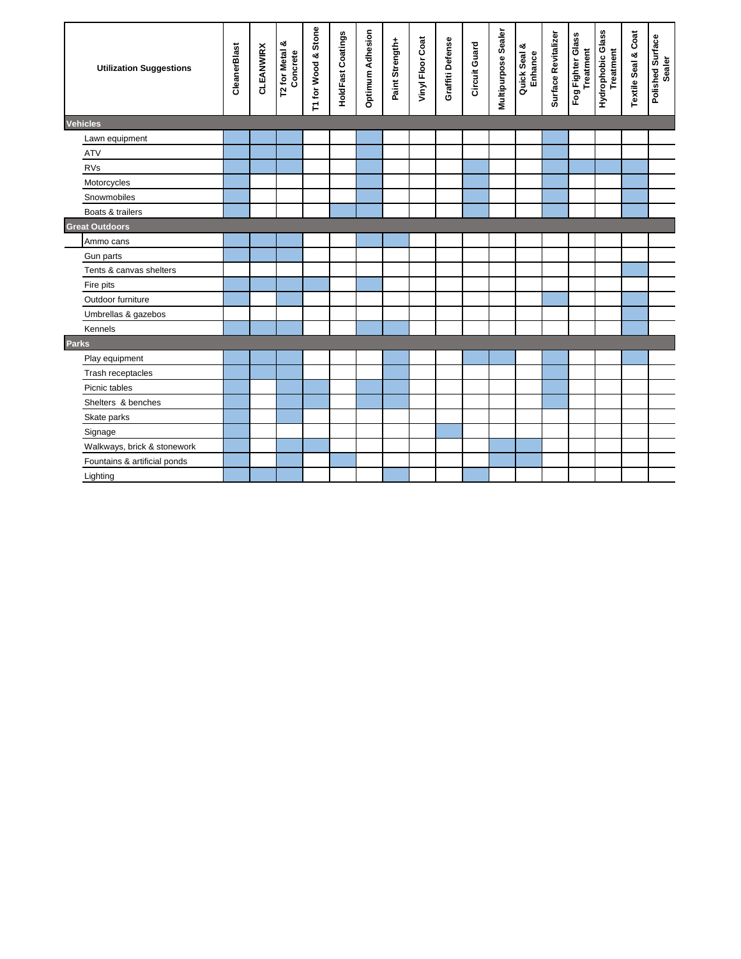| <b>Utilization Suggestions</b> | CleanerBlast | <b>CLEANWIRX</b> | T2 for Metal &<br>Concrete | T1 for Wood & Stone | <b>HoldFast Coatings</b> | <b>Optimum Adhesion</b> | Paint Strength+ | Vinyl Floor Coat | Graffiti Defense | Circuit Guard | Multipurpose Sealer | Quick Seal &<br>Enhance | Surface Revitalizer | Fog Fighter Glass<br>Treatment | Hydrophobic Glass<br><b>Treatment</b> | <b>Textile Seal &amp; Coat</b> | Polished Surface<br>Sealer |
|--------------------------------|--------------|------------------|----------------------------|---------------------|--------------------------|-------------------------|-----------------|------------------|------------------|---------------|---------------------|-------------------------|---------------------|--------------------------------|---------------------------------------|--------------------------------|----------------------------|
| <b>Vehicles</b>                |              |                  |                            |                     |                          |                         |                 |                  |                  |               |                     |                         |                     |                                |                                       |                                |                            |
| Lawn equipment                 |              |                  |                            |                     |                          |                         |                 |                  |                  |               |                     |                         |                     |                                |                                       |                                |                            |
| <b>ATV</b>                     |              |                  |                            |                     |                          |                         |                 |                  |                  |               |                     |                         |                     |                                |                                       |                                |                            |
| <b>RVs</b>                     |              |                  |                            |                     |                          |                         |                 |                  |                  |               |                     |                         |                     |                                |                                       |                                |                            |
| Motorcycles                    |              |                  |                            |                     |                          |                         |                 |                  |                  |               |                     |                         |                     |                                |                                       |                                |                            |
| Snowmobiles                    |              |                  |                            |                     |                          |                         |                 |                  |                  |               |                     |                         |                     |                                |                                       |                                |                            |
| Boats & trailers               |              |                  |                            |                     |                          |                         |                 |                  |                  |               |                     |                         |                     |                                |                                       |                                |                            |
| <b>Great Outdoors</b>          |              |                  |                            |                     |                          |                         |                 |                  |                  |               |                     |                         |                     |                                |                                       |                                |                            |
| Ammo cans                      |              |                  |                            |                     |                          |                         |                 |                  |                  |               |                     |                         |                     |                                |                                       |                                |                            |
| Gun parts                      |              |                  |                            |                     |                          |                         |                 |                  |                  |               |                     |                         |                     |                                |                                       |                                |                            |
| Tents & canvas shelters        |              |                  |                            |                     |                          |                         |                 |                  |                  |               |                     |                         |                     |                                |                                       |                                |                            |
| Fire pits                      |              |                  |                            |                     |                          |                         |                 |                  |                  |               |                     |                         |                     |                                |                                       |                                |                            |
| Outdoor furniture              |              |                  |                            |                     |                          |                         |                 |                  |                  |               |                     |                         |                     |                                |                                       |                                |                            |
| Umbrellas & gazebos            |              |                  |                            |                     |                          |                         |                 |                  |                  |               |                     |                         |                     |                                |                                       |                                |                            |
| Kennels                        |              |                  |                            |                     |                          |                         |                 |                  |                  |               |                     |                         |                     |                                |                                       |                                |                            |
| <b>Parks</b>                   |              |                  |                            |                     |                          |                         |                 |                  |                  |               |                     |                         |                     |                                |                                       |                                |                            |
| Play equipment                 |              |                  |                            |                     |                          |                         |                 |                  |                  |               |                     |                         |                     |                                |                                       |                                |                            |
| Trash receptacles              |              |                  |                            |                     |                          |                         |                 |                  |                  |               |                     |                         |                     |                                |                                       |                                |                            |
| Picnic tables                  |              |                  |                            |                     |                          |                         |                 |                  |                  |               |                     |                         |                     |                                |                                       |                                |                            |
| Shelters & benches             |              |                  |                            |                     |                          |                         |                 |                  |                  |               |                     |                         |                     |                                |                                       |                                |                            |
| Skate parks                    |              |                  |                            |                     |                          |                         |                 |                  |                  |               |                     |                         |                     |                                |                                       |                                |                            |
| Signage                        |              |                  |                            |                     |                          |                         |                 |                  |                  |               |                     |                         |                     |                                |                                       |                                |                            |
| Walkways, brick & stonework    |              |                  |                            |                     |                          |                         |                 |                  |                  |               |                     |                         |                     |                                |                                       |                                |                            |
| Fountains & artificial ponds   |              |                  |                            |                     |                          |                         |                 |                  |                  |               |                     |                         |                     |                                |                                       |                                |                            |
| Lighting                       |              |                  |                            |                     |                          |                         |                 |                  |                  |               |                     |                         |                     |                                |                                       |                                |                            |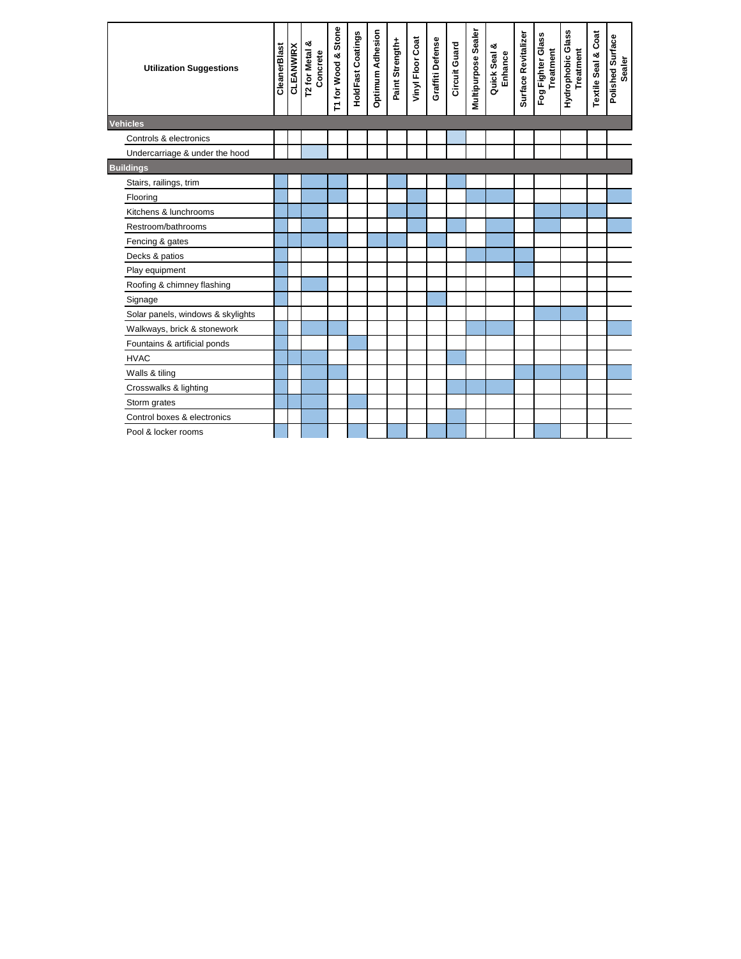| <b>Utilization Suggestions</b>    | CleanerBlast | <b>CLEANWIRX</b> | య<br>T2 for Metal &<br>Concrete | T1 for Wood & Stone | <b>HoldFast Coatings</b> | <b>Optimum Adhesion</b> | Paint Strength+ | Vinyl Floor Coat | Graffiti Defense | Circuit Guard | Multipurpose Sealer | Quick Seal &<br>Enhance | Surface Revitalizer | Fog Fighter Glass<br><b>Treatment</b> | Hydrophobic Glass<br><b>Treatment</b> | <b>Textile Seal &amp; Coat</b> | Polished Surface<br>Sealer |
|-----------------------------------|--------------|------------------|---------------------------------|---------------------|--------------------------|-------------------------|-----------------|------------------|------------------|---------------|---------------------|-------------------------|---------------------|---------------------------------------|---------------------------------------|--------------------------------|----------------------------|
| <b>Vehicles</b>                   |              |                  |                                 |                     |                          |                         |                 |                  |                  |               |                     |                         |                     |                                       |                                       |                                |                            |
| Controls & electronics            |              |                  |                                 |                     |                          |                         |                 |                  |                  |               |                     |                         |                     |                                       |                                       |                                |                            |
| Undercarriage & under the hood    |              |                  |                                 |                     |                          |                         |                 |                  |                  |               |                     |                         |                     |                                       |                                       |                                |                            |
| <b>Buildings</b>                  |              |                  |                                 |                     |                          |                         |                 |                  |                  |               |                     |                         |                     |                                       |                                       |                                |                            |
| Stairs, railings, trim            |              |                  |                                 |                     |                          |                         |                 |                  |                  |               |                     |                         |                     |                                       |                                       |                                |                            |
| Flooring                          |              |                  |                                 |                     |                          |                         |                 |                  |                  |               |                     |                         |                     |                                       |                                       |                                |                            |
| Kitchens & lunchrooms             |              |                  |                                 |                     |                          |                         |                 |                  |                  |               |                     |                         |                     |                                       |                                       |                                |                            |
| Restroom/bathrooms                |              |                  |                                 |                     |                          |                         |                 |                  |                  |               |                     |                         |                     |                                       |                                       |                                |                            |
| Fencing & gates                   |              |                  |                                 |                     |                          |                         |                 |                  |                  |               |                     |                         |                     |                                       |                                       |                                |                            |
| Decks & patios                    |              |                  |                                 |                     |                          |                         |                 |                  |                  |               |                     |                         |                     |                                       |                                       |                                |                            |
| Play equipment                    |              |                  |                                 |                     |                          |                         |                 |                  |                  |               |                     |                         |                     |                                       |                                       |                                |                            |
| Roofing & chimney flashing        |              |                  |                                 |                     |                          |                         |                 |                  |                  |               |                     |                         |                     |                                       |                                       |                                |                            |
| Signage                           |              |                  |                                 |                     |                          |                         |                 |                  |                  |               |                     |                         |                     |                                       |                                       |                                |                            |
| Solar panels, windows & skylights |              |                  |                                 |                     |                          |                         |                 |                  |                  |               |                     |                         |                     |                                       |                                       |                                |                            |
| Walkways, brick & stonework       |              |                  |                                 |                     |                          |                         |                 |                  |                  |               |                     |                         |                     |                                       |                                       |                                |                            |
| Fountains & artificial ponds      |              |                  |                                 |                     |                          |                         |                 |                  |                  |               |                     |                         |                     |                                       |                                       |                                |                            |
| <b>HVAC</b>                       |              |                  |                                 |                     |                          |                         |                 |                  |                  |               |                     |                         |                     |                                       |                                       |                                |                            |
| Walls & tiling                    |              |                  |                                 |                     |                          |                         |                 |                  |                  |               |                     |                         |                     |                                       |                                       |                                |                            |
| Crosswalks & lighting             |              |                  |                                 |                     |                          |                         |                 |                  |                  |               |                     |                         |                     |                                       |                                       |                                |                            |
| Storm grates                      |              |                  |                                 |                     |                          |                         |                 |                  |                  |               |                     |                         |                     |                                       |                                       |                                |                            |
| Control boxes & electronics       |              |                  |                                 |                     |                          |                         |                 |                  |                  |               |                     |                         |                     |                                       |                                       |                                |                            |
| Pool & locker rooms               |              |                  |                                 |                     |                          |                         |                 |                  |                  |               |                     |                         |                     |                                       |                                       |                                |                            |